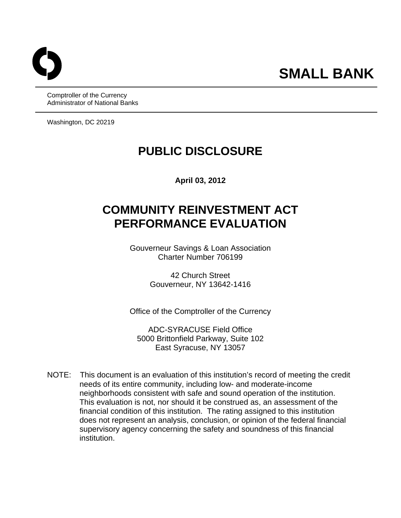Comptroller of the Currency Administrator of National Banks

Washington, DC 20219

## **PUBLIC DISCLOSURE**

**April 03, 2012** 

# **COMMUNITY REINVESTMENT ACT PERFORMANCE EVALUATION**

Gouverneur Savings & Loan Association Charter Number 706199

> 42 Church Street Gouverneur, NY 13642-1416

Office of the Comptroller of the Currency

ADC-SYRACUSE Field Office 5000 Brittonfield Parkway, Suite 102 East Syracuse, NY 13057

NOTE: This document is an evaluation of this institution's record of meeting the credit needs of its entire community, including low- and moderate-income neighborhoods consistent with safe and sound operation of the institution. This evaluation is not, nor should it be construed as, an assessment of the financial condition of this institution. The rating assigned to this institution does not represent an analysis, conclusion, or opinion of the federal financial supervisory agency concerning the safety and soundness of this financial institution.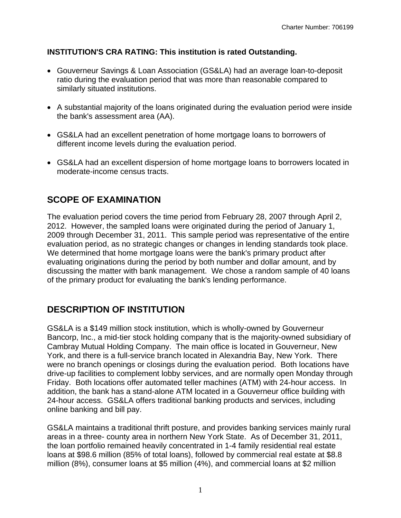#### **INSTITUTION'S CRA RATING: This institution is rated Outstanding.**

- Gouverneur Savings & Loan Association (GS&LA) had an average loan-to-deposit ratio during the evaluation period that was more than reasonable compared to similarly situated institutions.
- A substantial majority of the loans originated during the evaluation period were inside the bank's assessment area (AA).
- GS&LA had an excellent penetration of home mortgage loans to borrowers of different income levels during the evaluation period.
- GS&LA had an excellent dispersion of home mortgage loans to borrowers located in moderate-income census tracts.

#### **SCOPE OF EXAMINATION**

The evaluation period covers the time period from February 28, 2007 through April 2, 2012. However, the sampled loans were originated during the period of January 1, 2009 through December 31, 2011. This sample period was representative of the entire evaluation period, as no strategic changes or changes in lending standards took place. We determined that home mortgage loans were the bank's primary product after evaluating originations during the period by both number and dollar amount, and by discussing the matter with bank management. We chose a random sample of 40 loans of the primary product for evaluating the bank's lending performance.

#### **DESCRIPTION OF INSTITUTION**

GS&LA is a \$149 million stock institution, which is wholly-owned by Gouverneur Bancorp, Inc., a mid-tier stock holding company that is the majority-owned subsidiary of Cambray Mutual Holding Company. The main office is located in Gouverneur, New York, and there is a full-service branch located in Alexandria Bay, New York. There were no branch openings or closings during the evaluation period. Both locations have drive-up facilities to complement lobby services, and are normally open Monday through Friday. Both locations offer automated teller machines (ATM) with 24-hour access. In addition, the bank has a stand-alone ATM located in a Gouverneur office building with 24-hour access. GS&LA offers traditional banking products and services, including online banking and bill pay.

GS&LA maintains a traditional thrift posture, and provides banking services mainly rural areas in a three- county area in northern New York State. As of December 31, 2011, the loan portfolio remained heavily concentrated in 1-4 family residential real estate loans at \$98.6 million (85% of total loans), followed by commercial real estate at \$8.8 million (8%), consumer loans at \$5 million (4%), and commercial loans at \$2 million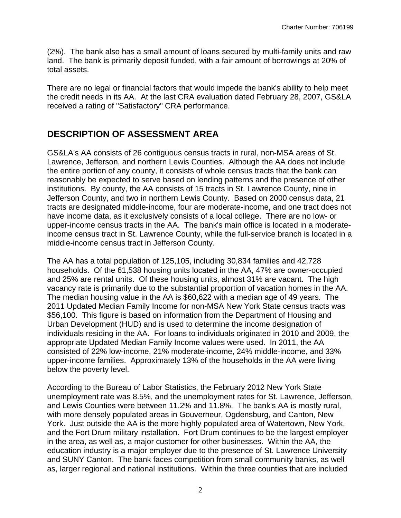(2%). The bank also has a small amount of loans secured by multi-family units and raw land. The bank is primarily deposit funded, with a fair amount of borrowings at 20% of total assets.

There are no legal or financial factors that would impede the bank's ability to help meet the credit needs in its AA. At the last CRA evaluation dated February 28, 2007, GS&LA received a rating of "Satisfactory" CRA performance.

#### **DESCRIPTION OF ASSESSMENT AREA**

 Jefferson County, and two in northern Lewis County. Based on 2000 census data, 21 GS&LA's AA consists of 26 contiguous census tracts in rural, non-MSA areas of St. Lawrence, Jefferson, and northern Lewis Counties. Although the AA does not include the entire portion of any county, it consists of whole census tracts that the bank can reasonably be expected to serve based on lending patterns and the presence of other institutions. By county, the AA consists of 15 tracts in St. Lawrence County, nine in tracts are designated middle-income, four are moderate-income, and one tract does not have income data, as it exclusively consists of a local college. There are no low- or upper-income census tracts in the AA. The bank's main office is located in a moderateincome census tract in St. Lawrence County, while the full-service branch is located in a middle-income census tract in Jefferson County.

The AA has a total population of 125,105, including 30,834 families and 42,728 households. Of the 61,538 housing units located in the AA, 47% are owner-occupied and 25% are rental units. Of these housing units, almost 31% are vacant. The high vacancy rate is primarily due to the substantial proportion of vacation homes in the AA. The median housing value in the AA is \$60,622 with a median age of 49 years. The 2011 Updated Median Family Income for non-MSA New York State census tracts was \$56,100. This figure is based on information from the Department of Housing and Urban Development (HUD) and is used to determine the income designation of individuals residing in the AA. For loans to individuals originated in 2010 and 2009, the appropriate Updated Median Family Income values were used. In 2011, the AA consisted of 22% low-income, 21% moderate-income, 24% middle-income, and 33% upper-income families. Approximately 13% of the households in the AA were living below the poverty level.

According to the Bureau of Labor Statistics, the February 2012 New York State unemployment rate was 8.5%, and the unemployment rates for St. Lawrence, Jefferson, and Lewis Counties were between 11.2% and 11.8%. The bank's AA is mostly rural, with more densely populated areas in Gouverneur, Ogdensburg, and Canton, New York. Just outside the AA is the more highly populated area of Watertown, New York, and the Fort Drum military installation. Fort Drum continues to be the largest employer in the area, as well as, a major customer for other businesses. Within the AA, the education industry is a major employer due to the presence of St. Lawrence University and SUNY Canton. The bank faces competition from small community banks, as well as, larger regional and national institutions. Within the three counties that are included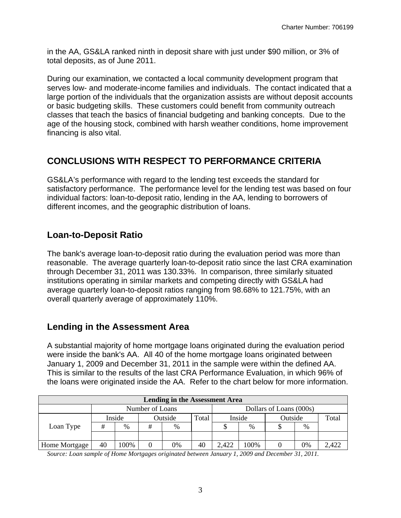in the AA, GS&LA ranked ninth in deposit share with just under \$90 million, or 3% of total deposits, as of June 2011.

During our examination, we contacted a local community development program that serves low- and moderate-income families and individuals. The contact indicated that a large portion of the individuals that the organization assists are without deposit accounts or basic budgeting skills. These customers could benefit from community outreach classes that teach the basics of financial budgeting and banking concepts. Due to the age of the housing stock, combined with harsh weather conditions, home improvement financing is also vital.

### **CONCLUSIONS WITH RESPECT TO PERFORMANCE CRITERIA**

GS&LA's performance with regard to the lending test exceeds the standard for satisfactory performance. The performance level for the lending test was based on four individual factors: loan-to-deposit ratio, lending in the AA, lending to borrowers of different incomes, and the geographic distribution of loans.

#### **Loan-to-Deposit Ratio**

The bank's average loan-to-deposit ratio during the evaluation period was more than reasonable. The average quarterly loan-to-deposit ratio since the last CRA examination through December 31, 2011 was 130.33%. In comparison, three similarly situated institutions operating in similar markets and competing directly with GS&LA had average quarterly loan-to-deposit ratios ranging from 98.68% to 121.75%, with an overall quarterly average of approximately 110%.

#### **Lending in the Assessment Area**

A substantial majority of home mortgage loans originated during the evaluation period were inside the bank's AA. All 40 of the home mortgage loans originated between January 1, 2009 and December 31, 2011 in the sample were within the defined AA. This is similar to the results of the last CRA Performance Evaluation, in which 96% of the loans were originated inside the AA. Refer to the chart below for more information.

| <b>Lending in the Assessment Area</b> |                 |        |   |               |       |                         |      |         |    |       |  |
|---------------------------------------|-----------------|--------|---|---------------|-------|-------------------------|------|---------|----|-------|--|
|                                       | Number of Loans |        |   |               |       | Dollars of Loans (000s) |      |         |    |       |  |
|                                       |                 | Inside |   | Outside       | Total | Inside                  |      | Outside |    | Total |  |
| Loan Type                             | #               | %      | # | $\frac{0}{0}$ |       |                         | %    |         | %  |       |  |
|                                       |                 |        |   |               |       |                         |      |         |    |       |  |
| Home Mortgage                         | 40              | 100%   |   | 0%            | 40    | 2,422                   | 100% |         | 0% | 2,422 |  |

*Source: Loan sample of Home Mortgages originated between January 1, 2009 and December 31, 2011.*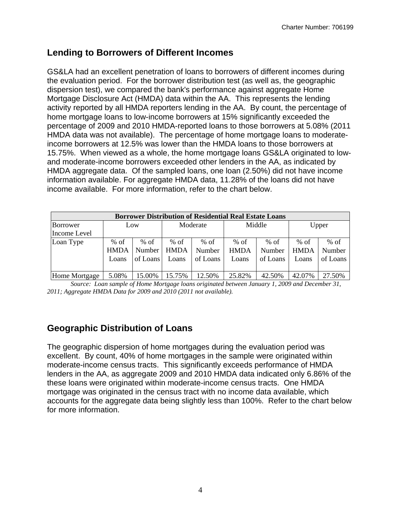#### **Lending to Borrowers of Different Incomes**

GS&LA had an excellent penetration of loans to borrowers of different incomes during the evaluation period. For the borrower distribution test (as well as, the geographic dispersion test), we compared the bank's performance against aggregate Home Mortgage Disclosure Act (HMDA) data within the AA. This represents the lending activity reported by all HMDA reporters lending in the AA. By count, the percentage of home mortgage loans to low-income borrowers at 15% significantly exceeded the percentage of 2009 and 2010 HMDA-reported loans to those borrowers at 5.08% (2011 HMDA data was not available). The percentage of home mortgage loans to moderateincome borrowers at 12.5% was lower than the HMDA loans to those borrowers at 15.75%. When viewed as a whole, the home mortgage loans GS&LA originated to lowand moderate-income borrowers exceeded other lenders in the AA, as indicated by HMDA aggregate data. Of the sampled loans, one loan (2.50%) did not have income information available. For aggregate HMDA data, 11.28% of the loans did not have income available. For more information, refer to the chart below.

| <b>Borrower Distribution of Residential Real Estate Loans</b> |             |          |             |          |             |          |             |          |  |  |
|---------------------------------------------------------------|-------------|----------|-------------|----------|-------------|----------|-------------|----------|--|--|
| Borrower                                                      | Low         |          | Moderate    |          | Middle      |          | Upper       |          |  |  |
| Income Level                                                  |             |          |             |          |             |          |             |          |  |  |
| Loan Type                                                     | $%$ of      | % of     | $%$ of      | % of     | % of        | $%$ of   | $%$ of      | $%$ of   |  |  |
|                                                               | <b>HMDA</b> | Number   | <b>HMDA</b> | Number   | <b>HMDA</b> | Number   | <b>HMDA</b> | Number   |  |  |
|                                                               | Loans       | of Loans | Loans       | of Loans | Loans       | of Loans | Loans       | of Loans |  |  |
|                                                               |             |          |             |          |             |          |             |          |  |  |
| Home Mortgage                                                 | 5.08%       | 15.00%   | 15.75%      | 12.50%   | 25.82%      | 42.50%   | 42.07%      | 27.50%   |  |  |

*Source: Loan sample of Home Mortgage loans originated between January 1, 2009 and December 31, 2011; Aggregate HMDA Data for 2009 and 2010 (2011 not available).* 

#### **Geographic Distribution of Loans**

The geographic dispersion of home mortgages during the evaluation period was excellent. By count, 40% of home mortgages in the sample were originated within moderate-income census tracts. This significantly exceeds performance of HMDA lenders in the AA, as aggregate 2009 and 2010 HMDA data indicated only 6.86% of the these loans were originated within moderate-income census tracts. One HMDA mortgage was originated in the census tract with no income data available, which accounts for the aggregate data being slightly less than 100%. Refer to the chart below for more information.